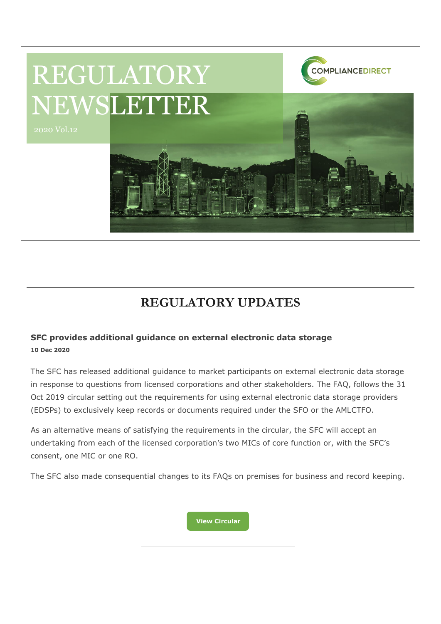

# REGULATORY NEWSLETTER

2020 Vol.12

# **REGULATORY UPDATES**

## **SFC provides additional guidance on external electronic data storage 10 Dec 2020**

The SFC has released additional guidance to market participants on external electronic data storage in response to questions from licensed corporations and other stakeholders. The FAQ, follows the 31 Oct 2019 circular setting out the requirements for using external electronic data storage providers (EDSPs) to exclusively keep records or documents required under the SFO or the AMLCTFO.

As an alternative means of satisfying the requirements in the circular, the SFC will accept an undertaking from each of the licensed corporation's two MICs of core function or, with the SFC's consent, one MIC or one RO.

The SFC also made consequential changes to its FAQs on premises for business and record keeping.

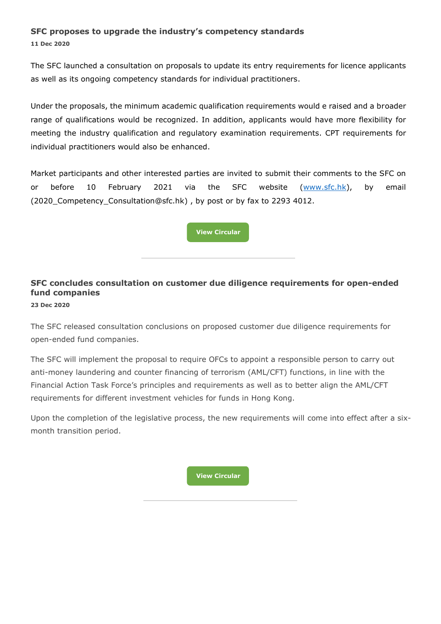## **SFC proposes to upgrade the industry's competency standards**

**11 Dec 2020**

The SFC launched a consultation on proposals to update its entry requirements for licence applicants as well as its ongoing competency standards for individual practitioners.

Under the proposals, the minimum academic qualification requirements would e raised and a broader range of qualifications would be recognized. In addition, applicants would have more flexibility for meeting the industry qualification and regulatory examination requirements. CPT requirements for individual practitioners would also be enhanced.

Market participants and other interested parties are invited to submit their comments to the SFC on or before 10 February 2021 via the SFC website [\(www.sfc.hk\)](http://www.sfc.hk/), by email (2020\_Competency\_Consultation@sfc.hk) , by post or by fax to 2293 4012.

**[View Circular](https://apps.sfc.hk/edistributionWeb/gateway/EN/news-and-announcements/news/doc?refNo=20PR125)**

# **SFC concludes consultation on customer due diligence requirements for open-ended fund companies**

**23 Dec 2020**

The SFC released consultation conclusions on proposed customer due diligence requirements for open-ended fund companies.

The SFC will implement the proposal to require OFCs to appoint a responsible person to carry out anti-money laundering and counter financing of terrorism (AML/CFT) functions, in line with the Financial Action Task Force's principles and requirements as well as to better align the AML/CFT requirements for different investment vehicles for funds in Hong Kong.

Upon the completion of the legislative process, the new requirements will come into effect after a sixmonth transition period.

**[View Circular](https://apps.sfc.hk/edistributionWeb/gateway/EN/news-and-announcements/news/doc?refNo=20PR133)**